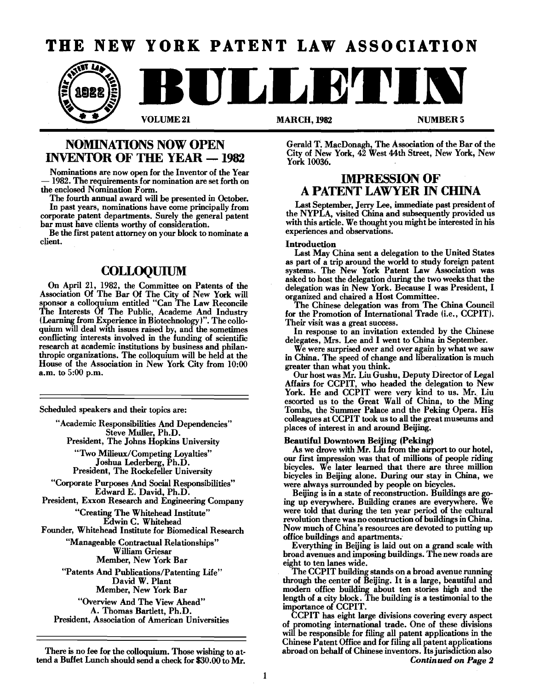# **THE NEW YORK PATENT LAW ASSOCIATION**



# **NOMINATIONS NOW OPEN INVENTOR OF THE YEAR - 1982**

Nominations are now open for the Inventor of the Year - 1982. The requirements for nomination are set forth on the enclosed Nomination Form.

The fourth annual award will be presented in October. In past years, nominations have come principally from corporate patent departments. Surely the general patent bar must have clients worthy of consideration.

Be the first patent attorney on your block to nominate a client.

## **COLLOQUIUM**

On April 21, 1982, the Committee on Patents of the Association Of The Bar Of The City of New York will sponsor a colloquium entitled "Can The Law Reconcile The Interests Of The Public, Academe And Industry (Learning from Experience in Biotechnology )". The colloquium will deal with issues raised by, and the sometimes conflicting interests involved in the funding of scientific research at academic institutions by business and philanthropic organizations. The colloquium will be held at the House of the Association in New York City from 10:00 a.m. to 5:00 p.m.

Scheduled speakers and their topics are:

"Academic Responsibilities And Dependencies" Steve Muller, Ph.D. President, The Johns Hopkins University "Two Milieux/Competing Loyalties" Joshua Lederberg, Ph.D. President, The Rockefeller University "Corporate Purposes And Social Responsibilities" Edward E. David, Ph.D. President, Exxon Research and Engineering Company "Creating The Whitehead Institute" Edwin C. Whitehead Founder, Whitehead Institute for Biomedical Research "Manageable Contractual Relationships" William Griesar Member, New York Bar "Patents And Publications/Patenting Life" David W. Plant Member, New York Bar "Overview And The View Ahead" A. Thomas Bartlett, Ph.D. President, Association of American Universities

There is no fee for the colloquium. Those wishing to attend a Buffet Lunch should send a check for \$30.00 to Mr.

Gerald T. MacDonagh, The Association of the Bar of the City of New York, 42 West 44th Street, New York, New York 10036.

### **IMPRESSION OF A PATENT LAWYER IN CHINA**

Last September, Jerry Lee, immediate past president of the NYPLA, visited China and subsequently provided us with this article. We thought you might be interested in his experiences and observations.

#### Introduction

Last May China sent a delegation to the United States as part of a trip around the world to study foreign patent systems. The New York Patent Law Association was asked to host the delegation during the two weeks that the delegation was in New York. Because I was President, I organized and chaired a Host Committee.

The Chinese delegation was from The China Council for the Promotion of International Trade (i.e., CCPIT). Their visit was a great success.

In response to an invitation extended by the Chinese delegates, Mrs. Lee and I went to China in September.

We were surprised over and over again by what we saw in China. The speed of change and liberalization is much greater than what you think.

Our host was Mr. Liu Gushu, Deputy Director of Legal Affairs for CCPIT, who headed the delegation to New York. He and CCPIT were very kind to us. Mr., Liu escorted us to the Great Wall of China, to the Ming Tombs, the Summer Palace and the Peking Opera. His colleagues at CCPIT took us to all the great museums and places of interest in and around Beijing.

#### Beautiful Downtown Beijing (Peking)

As we drove with Mr. Liu from the airport to our hotel, our first impression was that of millions of people riding bicycles. We later learned that there are three million bicycles in Beijing alone. During our stay in China, we were always surrounded by people on bicycles.

Beijing is in a state of reconstruction. Buildings are going up everywhere. Building cranes are everywhere. We were told that during the ten year period of the cultural revolution there was no construction of buildings in China. Now much of China's resources are devoted to putting up office buildings and apartments.

Everything in Beijing is laid out on a grand scale with broad avenues and imposing buildings. The new roads are eight to ten lanes wide.

The CCPIT building stands on a broad avenue running through the center of Beijing. It is a large, beautiful and modern office building about ten stories high and 'the length of a city block. The building is a testimonial to the importance of CCPIT.

CCPIT has eight large divisions covering every aspect of promoting international trade. One of these divisions will be responsible for filing all patent applications in the Chinese Patent Office and for filing all patent applications abroad on behaH of Chinese inventors. Its jurisdiction also *Continued* on *Page 2*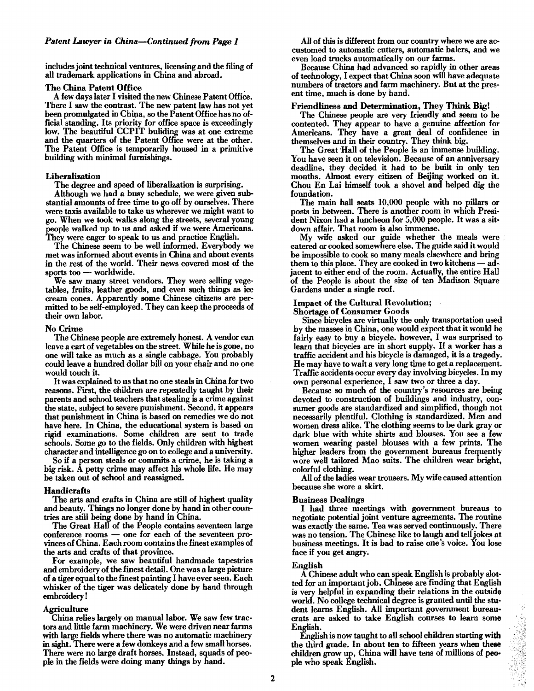includes joint technical ventures, licensing and the filing of all trademark applications in China and abroad.

#### The China Patent Office

A few days later I visited the new Chinese Patent Office. There I saw the contrast. The new patent law has not yet been promulgated in China, so the Patent Office has no official standing. Its priority for office space is exceedingly low. The beautiful CCPIT buliding was at one extreme and the quarters of the Patent Office were at the other. The Patent Office is temporarily housed in a primitive building with minimal furnishings.

#### Liberalization

The degree and speed of liberalization is surprising.

Although we had a busy schedule, we were given substantial amounts of free time to go off by ourselves. There were taxis available to take us wherever we might want to go. When we took walks along the streets, several young people walked up to us and asked if we were Americans. They were eager to speak to us and practice English.

The Chinese seem to be well informed. Everybody we met was informed about events in China and about events in the rest of the world. Their news covered most of the sports too - worldwide.

We saw many street vendors. They were selling vegetables, fruits, leather goods, and even such things as ice cream cones. Apparently some Chinese citizens are permitted to be self-employed. They can keep the proceeds of their own labor.

#### No Crime

The Chinese people are extremely honest. A vendor can leave a cart of vegetables on the street. While he is gone, no one will take as much as a single cabbage. You probably could leave a hundred dollar bill on your chair and no one would touch it.

It was explained to us that no one steals in China for two reasons. First, the children are repeatedly taught by their parents and school teachers that stealing is a crime against the state, subject to severe punishment. Second, it appears that punishment in China is based on remedies we do not have here. In China, the educational system is based on rigid examinations. Some children are sent to trade schools. Some go to the fields. Only children with highest character and intelligence go on to college and a university.

So if a person steals or commits a crime, he is taking a big risk. A petty crime may affect his whole life. He may be taken out of school and reassigned.

#### Handicrafts

The arts and crafts in China are still of highest quality and beauty. Things no longer done by hand in other countries are still being done by hand in China.

The Great Hall of the People contains seventeen large conference rooms - one for each of the seventeen provinces of China. Each room contains the finest examples of the arts and crafts of that province.

For example, we saw beautiful handmade tapestries and embroidery of the finest detail. One was a large picture of a tiger equal to the finest painting I have ever seen. Each whisker of the tiger was delicately done by hand through embroidery !

#### Agriculture

China relies largely on manual labor. We saw few tractors and little farm machinery. We were driven near farms with large fields where there was no automatic machinery in sight. There were a few donkeys and a few small horses. There were no large draft horses. Instead, squads of people in the fields were doing many things by hand.

All of this is different from our country where we are accustomed to automatic cutters, automatic balers, and we even load trucks automatically on our farms.

Because China had advanced so rapidly in other areas of technology, I expect that China soon will have adequate numbers of tractors and farm machinery. But at the present time, much is done by hand.

#### Friendliness and Determination, They Think Big!

The Chinese people are very friendly and seem to be contented. They appear to have a genuine affection for Americans. They have a great deal of confidence in themselves and in their country. They think big.

The Great Hall of the People is an immense building. You have seen it on television. Because of an anniversary deadline, they decided it had to be built in only ten months. Almost every citizen of Beijing worked on it. Chou En Lai himself took a shovel and helped dig the foundation.

The main hall seats 10,000 people with no pillars or posts in between. There is another room in which President Nixon had a luncheon for 5,000 people. It was a sitdown affair. That room is also immense.

My wife asked our guide whether the meals were. catered or cooked somewhere else. The guide said it would be impossible to cook so many meals elsewhere and bring them to this place. They are cooked in two kitchens  $-$  adjacent to either end of the room. Actually, the entire Hall of the People is about the size of ten Madison Square Gardens under a single roof.

### Impact of the Cultural Revolution;

Shortage of Consumer Goods

Since bicycles are virtually the only transportation used by the masses in China, one would expect that it would be fairly easy to buy a bicycle. however, I was surprised to learn that bicycles are in short supply. If a worker has a traffic accident and his bicycle is damaged, it is a tragedy. He may have to wait a very long time to get a replacement. Traffic accidents occur every day involving bicycles. In my own personal experience, I saw two or three a day.

Because so much of the country's resources are being devoted to construction of buildings and industry, consumer goods are standardized and simplified, though not necessarily plentiful. Clothing is standardized. Men and women dress alike. The clothing seems to be dark gray or dark blue with white shirts and blouses. You see a few women wearing pastel blouses with a few prints. The higher leaders from the government bureaus frequently wore well tailored Mao suits. The children wear bright, colorful clothing.

All of the ladies wear trousers. My wife caused attention because she wore a skirt.

#### Business Dealings

I had three meetings with government bureaus to negotiate potential joint venture agreements. The routine was exacdy the same. Tea was served continuously. There was no tension. The Chinese like to laugh and tell jokes at business meetings. It is bad to raise one's voice. You lose face if you get angry.

#### English

A Chinese adult who can speak English is probably slotted for an important job. Chinese are finding that English is very helpful in expanding their relations in the outside world. No college technical degree is granted until the student learns English. All important government bureaucrats are asked to take English courses to learn some English.

English is now taught to all school children starting with the third grade. In about ten to fifteen years when these children grow up. China will have tens of millions of people who speak English.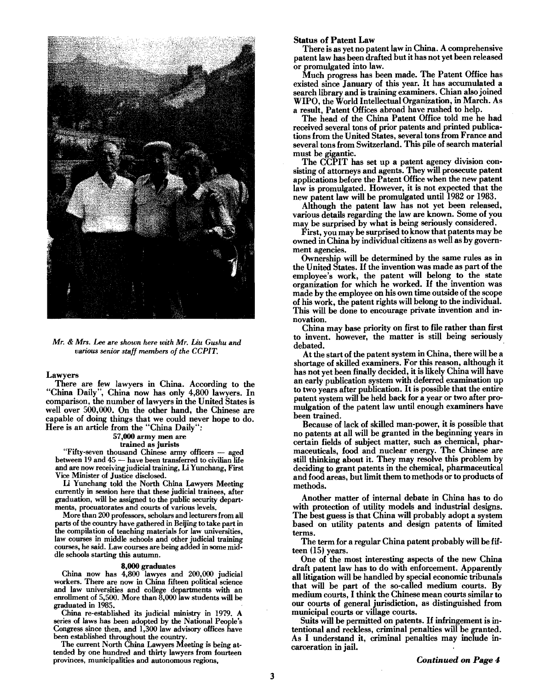

*Mr.* & *Mrs.* Lee *are shown here with Mr. Liu Gushu and various senior staff members of the CCPIT.* 

Lawyers

There are few lawyers in China. According to the "China Daily", China now has only 4,800 lawyers. In comparison, the number of lawyers in the United States is well over 500,000. On the other hand, the Chinese are capable of doing things that we could never hope to do. Here is an article from the "China Daily":

### 57,000 army men are

trained as jurists "Fifty-seven thousand Chinese army officers - aged between 19 and 45 - have been transferred to civilian life and are now receivingjudicial training, Li Yunchang, First Vice Minister of Justice disclosed.

Ii Yunchang told the North China Lawyers Meeting currently in session here that these judicial trainees, after graduation, will be assigned to the public security departments, procuatorates and courts of various levels.

More than 200 professors, scholars and lecturers from all parts of the country have gathered in Beijing to take part in the compilation of teaching materials for law universities, law courses in middle schools and other judicial training courses, he said. Law courses are being added in some middle schools starting this autumn.

#### 8,000 graduates

China now has 4,800 lawyes and 200,000 judicial workers. There are now in China fifteen political science and law universities and college departments with an enrollment of 5,500. More than 8,000 law students will be graduated in 1985.

China re-established its judicial ministry in 1979. A series of laws has been adopted by the National People's Congress since then, and 1,300 law advisory offices have been established throughout the country.

The current North China Lawyers Meeting is being attended by one hundred and thirty lawyers from fourteen provinces, municipalities and autonomous regions.

#### Status of Patent Law

There is as yet no patent law in China. A comprehensive patent law has been drafted but it has not yet been released or promulgated into law.

Much progress has been made. The Patent Office has existed since January of this year. It has accumulated a search library and is training examiners. Chian also joined WIPO, the World Intellectual Organization, in March. As a result, Patent Offices abroad have rushed to help.

The head of the China Patent Office told me he had received several tons of prior patents and printed publications from the United States, several tons from France and several tons from Switzerland. This pile of search material must be gigantic.

The CCPIT has set up a patent agency division consisting of attorneys and agents. They will prosecute patent applications before the Patent Office when the new patent law is promulgated. However, it is not expected that the new patent law will be promulgated until 1982 or 1983.

Although the patent law has not yet been released, various details regarding the law are known. Some of you may be surprised by what is being seriously considered.

First, you may be surprised to know that patents may be owned in China by individual citizens as well as by government agencies.

Ownership will be determined by the same rules as in the United States. If the invention was made as part of the employee's work, the patent will belong to the state organization for which he worked. If the invention was made by the employee on his own time outside of the scope of his work, the patent rights will belong to the individual. This will be done to encourage private invention and innovation.

China may base priority on first to file rather than first to invent. however, the matter is still being seriously debated.

At the start of the patent system in China, there will be a shortage of skilled examiners. For this reason, although it has not yet been finally decided, it is likely China will have an early publication system with deferred examination up to two years after publication. It is possible that the entire patent system will be held back for a year or two after promulgation of the patent law until enough examiners have been trained.

Because of lack of skilled man-power, it is possible that no patents at all will be granted in the beginning years in certain fields of subject matter, such as chemical, pharmaceuticals, food and nuclear energy. The Chinese are still thinking about it. They may resolve this problem by deciding to grant patents in the chemical, pharmaceutical and food areas, but limit them to methods or to products of methods.

Another matter of internal debate in China has to do with protection of utility models and industrial designs. The best guess is that China will probably adopt a system based on utility patents and design patents of limited terms.

The term for a regular China patent probably will be fifteen (15) years.

One of the most interesting aspects of the new China draft patent law has to do with enforcement. Apparently all litigation will be handled by special economic tribunals that will be part of the so-called medium courts. By medium courts, I think the Chinese mean courts similar to our courts of general jurisdiction, as distinguished from municipal courts or village courts.

Suits will be permitted on patents. If infringement is intentional and reckless, criminal penalties will be granted. As I understand it, criminal penalties may include incarceration in jail.